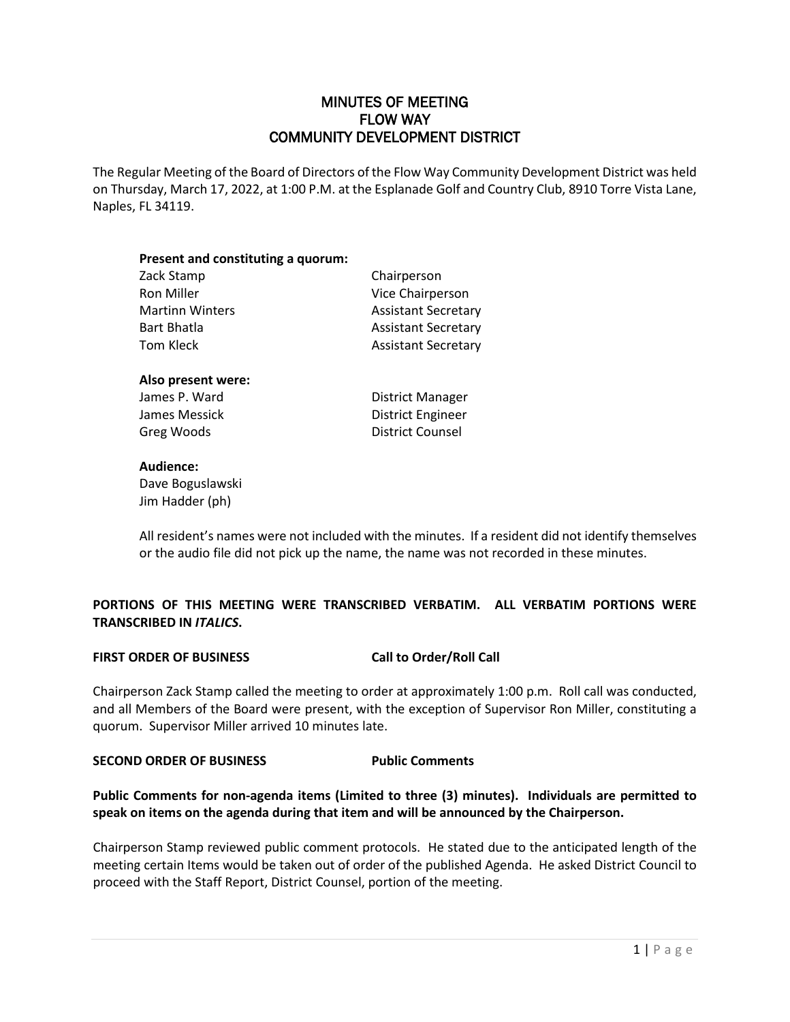# MINUTES OF MEETING FLOW WAY COMMUNITY DEVELOPMENT DISTRICT

The Regular Meeting of the Board of Directors of the Flow Way Community Development District was held on Thursday, March 17, 2022, at 1:00 P.M. at the Esplanade Golf and Country Club, 8910 Torre Vista Lane, Naples, FL 34119.

| Present and constituting a quorum: |                            |
|------------------------------------|----------------------------|
| Zack Stamp                         | Chairperson                |
| Ron Miller                         | Vice Chairperson           |
| <b>Martinn Winters</b>             | <b>Assistant Secretary</b> |
| <b>Bart Bhatla</b>                 | <b>Assistant Secretary</b> |
| Tom Kleck                          | <b>Assistant Secretary</b> |
| Also present were:                 |                            |
| James P. Ward                      | <b>District Manager</b>    |

James Messick **District Engineer** Greg Woods **District Counsel** 

# **Audience:**

Dave Boguslawski Jim Hadder (ph)

All resident's names were not included with the minutes. If a resident did not identify themselves or the audio file did not pick up the name, the name was not recorded in these minutes.

# **PORTIONS OF THIS MEETING WERE TRANSCRIBED VERBATIM. ALL VERBATIM PORTIONS WERE TRANSCRIBED IN** *ITALICS***.**

# **FIRST ORDER OF BUSINESS Call to Order/Roll Call**

Chairperson Zack Stamp called the meeting to order at approximately 1:00 p.m. Roll call was conducted, and all Members of the Board were present, with the exception of Supervisor Ron Miller, constituting a quorum. Supervisor Miller arrived 10 minutes late.

# **SECOND ORDER OF BUSINESS Public Comments**

**Public Comments for non-agenda items (Limited to three (3) minutes). Individuals are permitted to speak on items on the agenda during that item and will be announced by the Chairperson.**

Chairperson Stamp reviewed public comment protocols. He stated due to the anticipated length of the meeting certain Items would be taken out of order of the published Agenda. He asked District Council to proceed with the Staff Report, District Counsel, portion of the meeting.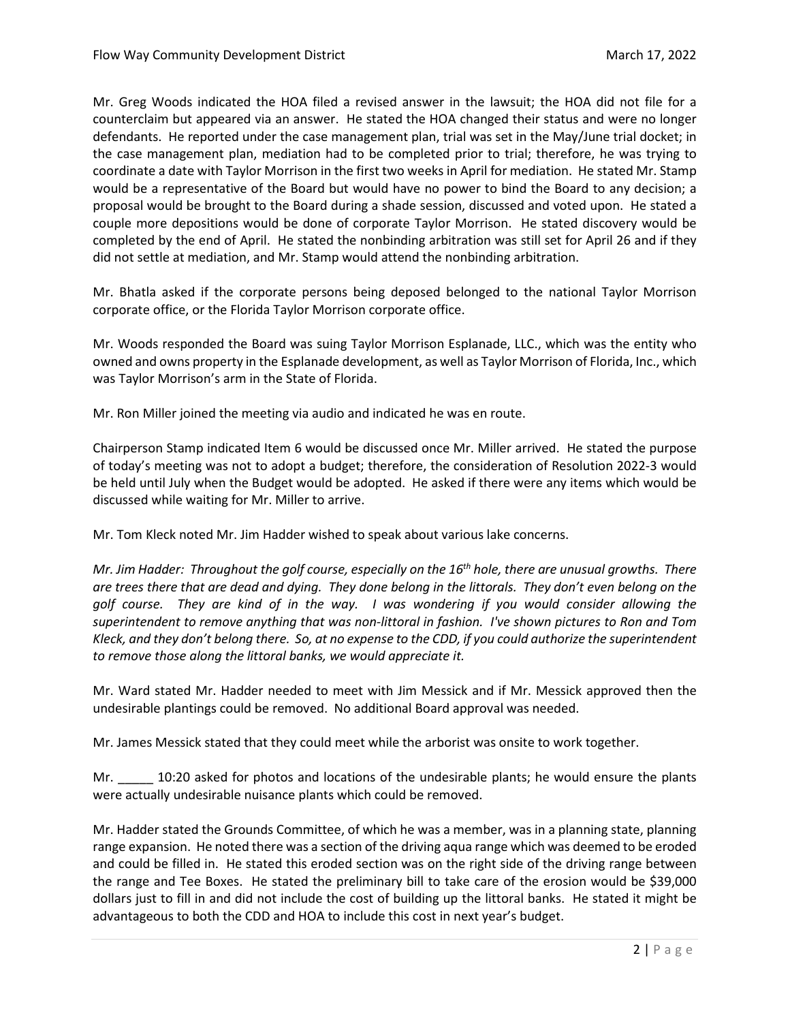Mr. Greg Woods indicated the HOA filed a revised answer in the lawsuit; the HOA did not file for a counterclaim but appeared via an answer. He stated the HOA changed their status and were no longer defendants. He reported under the case management plan, trial was set in the May/June trial docket; in the case management plan, mediation had to be completed prior to trial; therefore, he was trying to coordinate a date with Taylor Morrison in the first two weeks in April for mediation. He stated Mr. Stamp would be a representative of the Board but would have no power to bind the Board to any decision; a proposal would be brought to the Board during a shade session, discussed and voted upon. He stated a couple more depositions would be done of corporate Taylor Morrison. He stated discovery would be completed by the end of April. He stated the nonbinding arbitration was still set for April 26 and if they did not settle at mediation, and Mr. Stamp would attend the nonbinding arbitration.

Mr. Bhatla asked if the corporate persons being deposed belonged to the national Taylor Morrison corporate office, or the Florida Taylor Morrison corporate office.

Mr. Woods responded the Board was suing Taylor Morrison Esplanade, LLC., which was the entity who owned and owns property in the Esplanade development, as well as Taylor Morrison of Florida, Inc., which was Taylor Morrison's arm in the State of Florida.

Mr. Ron Miller joined the meeting via audio and indicated he was en route.

Chairperson Stamp indicated Item 6 would be discussed once Mr. Miller arrived. He stated the purpose of today's meeting was not to adopt a budget; therefore, the consideration of Resolution 2022-3 would be held until July when the Budget would be adopted. He asked if there were any items which would be discussed while waiting for Mr. Miller to arrive.

Mr. Tom Kleck noted Mr. Jim Hadder wished to speak about various lake concerns.

*Mr. Jim Hadder: Throughout the golf course, especially on the 16th hole, there are unusual growths. There are trees there that are dead and dying. They done belong in the littorals. They don't even belong on the golf course. They are kind of in the way. I was wondering if you would consider allowing the superintendent to remove anything that was non-littoral in fashion. I've shown pictures to Ron and Tom Kleck, and they don't belong there. So, at no expense to the CDD, if you could authorize the superintendent to remove those along the littoral banks, we would appreciate it.* 

Mr. Ward stated Mr. Hadder needed to meet with Jim Messick and if Mr. Messick approved then the undesirable plantings could be removed. No additional Board approval was needed.

Mr. James Messick stated that they could meet while the arborist was onsite to work together.

Mr. \_\_\_\_\_\_ 10:20 asked for photos and locations of the undesirable plants; he would ensure the plants were actually undesirable nuisance plants which could be removed.

Mr. Hadder stated the Grounds Committee, of which he was a member, was in a planning state, planning range expansion. He noted there was a section of the driving aqua range which was deemed to be eroded and could be filled in. He stated this eroded section was on the right side of the driving range between the range and Tee Boxes. He stated the preliminary bill to take care of the erosion would be \$39,000 dollars just to fill in and did not include the cost of building up the littoral banks. He stated it might be advantageous to both the CDD and HOA to include this cost in next year's budget.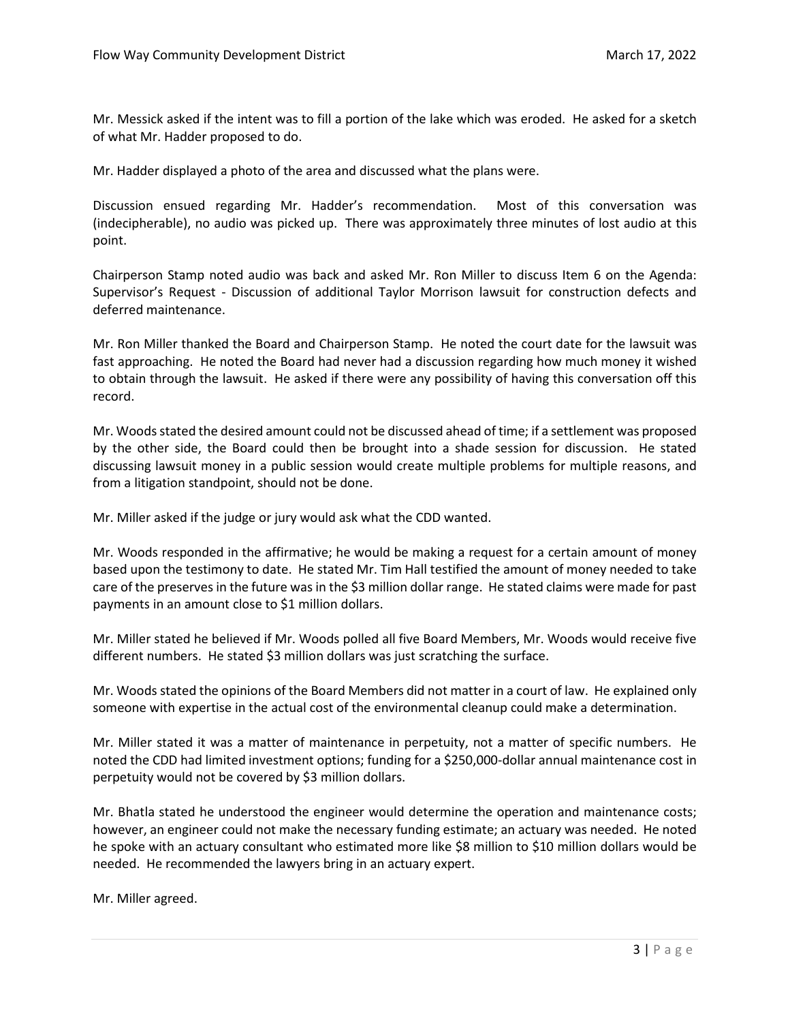Mr. Messick asked if the intent was to fill a portion of the lake which was eroded. He asked for a sketch of what Mr. Hadder proposed to do.

Mr. Hadder displayed a photo of the area and discussed what the plans were.

Discussion ensued regarding Mr. Hadder's recommendation. Most of this conversation was (indecipherable), no audio was picked up. There was approximately three minutes of lost audio at this point.

Chairperson Stamp noted audio was back and asked Mr. Ron Miller to discuss Item 6 on the Agenda: Supervisor's Request - Discussion of additional Taylor Morrison lawsuit for construction defects and deferred maintenance.

Mr. Ron Miller thanked the Board and Chairperson Stamp. He noted the court date for the lawsuit was fast approaching. He noted the Board had never had a discussion regarding how much money it wished to obtain through the lawsuit. He asked if there were any possibility of having this conversation off this record.

Mr. Woods stated the desired amount could not be discussed ahead of time; if a settlement was proposed by the other side, the Board could then be brought into a shade session for discussion. He stated discussing lawsuit money in a public session would create multiple problems for multiple reasons, and from a litigation standpoint, should not be done.

Mr. Miller asked if the judge or jury would ask what the CDD wanted.

Mr. Woods responded in the affirmative; he would be making a request for a certain amount of money based upon the testimony to date. He stated Mr. Tim Hall testified the amount of money needed to take care of the preserves in the future was in the \$3 million dollar range. He stated claims were made for past payments in an amount close to \$1 million dollars.

Mr. Miller stated he believed if Mr. Woods polled all five Board Members, Mr. Woods would receive five different numbers. He stated \$3 million dollars was just scratching the surface.

Mr. Woods stated the opinions of the Board Members did not matter in a court of law. He explained only someone with expertise in the actual cost of the environmental cleanup could make a determination.

Mr. Miller stated it was a matter of maintenance in perpetuity, not a matter of specific numbers. He noted the CDD had limited investment options; funding for a \$250,000-dollar annual maintenance cost in perpetuity would not be covered by \$3 million dollars.

Mr. Bhatla stated he understood the engineer would determine the operation and maintenance costs; however, an engineer could not make the necessary funding estimate; an actuary was needed. He noted he spoke with an actuary consultant who estimated more like \$8 million to \$10 million dollars would be needed. He recommended the lawyers bring in an actuary expert.

Mr. Miller agreed.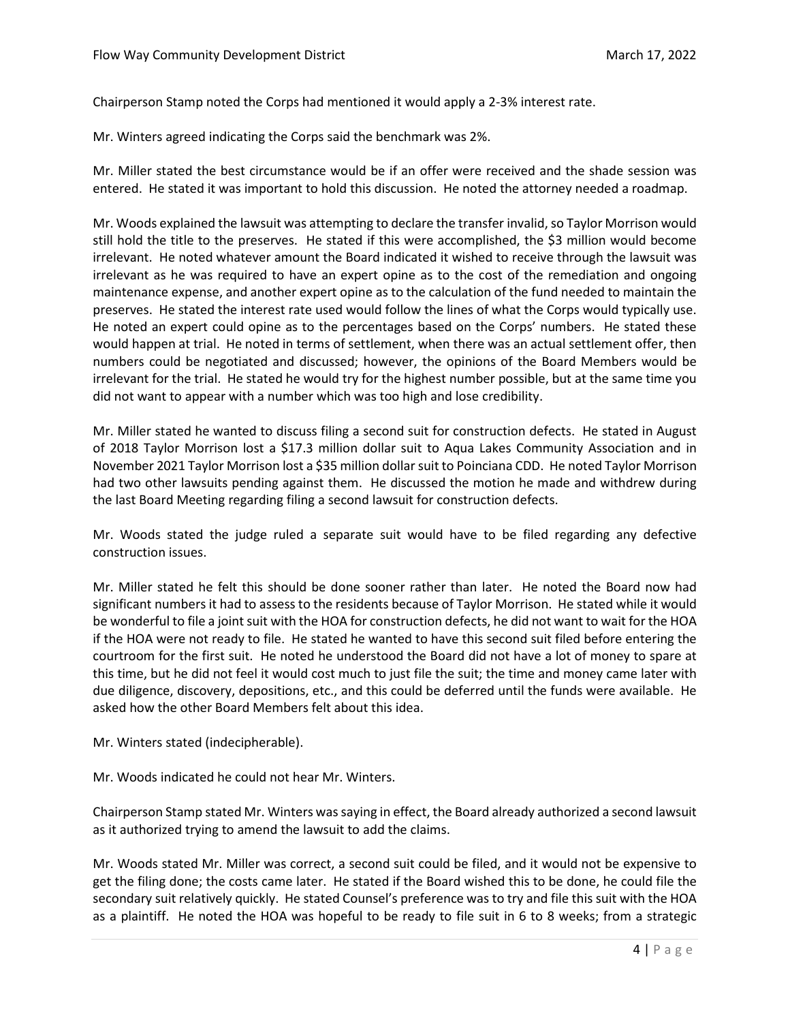Chairperson Stamp noted the Corps had mentioned it would apply a 2-3% interest rate.

Mr. Winters agreed indicating the Corps said the benchmark was 2%.

Mr. Miller stated the best circumstance would be if an offer were received and the shade session was entered. He stated it was important to hold this discussion. He noted the attorney needed a roadmap.

Mr. Woods explained the lawsuit was attempting to declare the transfer invalid, so Taylor Morrison would still hold the title to the preserves. He stated if this were accomplished, the \$3 million would become irrelevant. He noted whatever amount the Board indicated it wished to receive through the lawsuit was irrelevant as he was required to have an expert opine as to the cost of the remediation and ongoing maintenance expense, and another expert opine as to the calculation of the fund needed to maintain the preserves. He stated the interest rate used would follow the lines of what the Corps would typically use. He noted an expert could opine as to the percentages based on the Corps' numbers. He stated these would happen at trial. He noted in terms of settlement, when there was an actual settlement offer, then numbers could be negotiated and discussed; however, the opinions of the Board Members would be irrelevant for the trial. He stated he would try for the highest number possible, but at the same time you did not want to appear with a number which was too high and lose credibility.

Mr. Miller stated he wanted to discuss filing a second suit for construction defects. He stated in August of 2018 Taylor Morrison lost a \$17.3 million dollar suit to Aqua Lakes Community Association and in November 2021 Taylor Morrison lost a \$35 million dollar suit to Poinciana CDD. He noted Taylor Morrison had two other lawsuits pending against them. He discussed the motion he made and withdrew during the last Board Meeting regarding filing a second lawsuit for construction defects.

Mr. Woods stated the judge ruled a separate suit would have to be filed regarding any defective construction issues.

Mr. Miller stated he felt this should be done sooner rather than later. He noted the Board now had significant numbers it had to assess to the residents because of Taylor Morrison. He stated while it would be wonderful to file a joint suit with the HOA for construction defects, he did not want to wait for the HOA if the HOA were not ready to file. He stated he wanted to have this second suit filed before entering the courtroom for the first suit. He noted he understood the Board did not have a lot of money to spare at this time, but he did not feel it would cost much to just file the suit; the time and money came later with due diligence, discovery, depositions, etc., and this could be deferred until the funds were available. He asked how the other Board Members felt about this idea.

Mr. Winters stated (indecipherable).

Mr. Woods indicated he could not hear Mr. Winters.

Chairperson Stamp stated Mr. Winters was saying in effect, the Board already authorized a second lawsuit as it authorized trying to amend the lawsuit to add the claims.

Mr. Woods stated Mr. Miller was correct, a second suit could be filed, and it would not be expensive to get the filing done; the costs came later. He stated if the Board wished this to be done, he could file the secondary suit relatively quickly. He stated Counsel's preference was to try and file this suit with the HOA as a plaintiff. He noted the HOA was hopeful to be ready to file suit in 6 to 8 weeks; from a strategic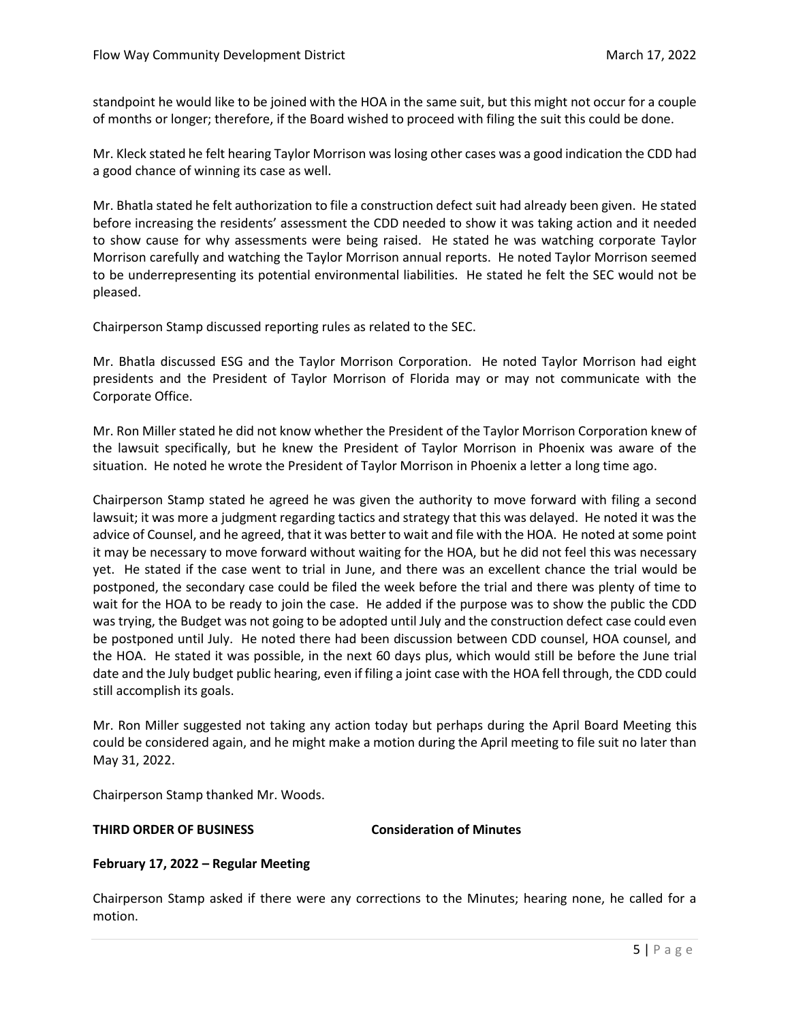standpoint he would like to be joined with the HOA in the same suit, but this might not occur for a couple of months or longer; therefore, if the Board wished to proceed with filing the suit this could be done.

Mr. Kleck stated he felt hearing Taylor Morrison was losing other cases was a good indication the CDD had a good chance of winning its case as well.

Mr. Bhatla stated he felt authorization to file a construction defect suit had already been given. He stated before increasing the residents' assessment the CDD needed to show it was taking action and it needed to show cause for why assessments were being raised. He stated he was watching corporate Taylor Morrison carefully and watching the Taylor Morrison annual reports. He noted Taylor Morrison seemed to be underrepresenting its potential environmental liabilities. He stated he felt the SEC would not be pleased.

Chairperson Stamp discussed reporting rules as related to the SEC.

Mr. Bhatla discussed ESG and the Taylor Morrison Corporation. He noted Taylor Morrison had eight presidents and the President of Taylor Morrison of Florida may or may not communicate with the Corporate Office.

Mr. Ron Miller stated he did not know whether the President of the Taylor Morrison Corporation knew of the lawsuit specifically, but he knew the President of Taylor Morrison in Phoenix was aware of the situation. He noted he wrote the President of Taylor Morrison in Phoenix a letter a long time ago.

Chairperson Stamp stated he agreed he was given the authority to move forward with filing a second lawsuit; it was more a judgment regarding tactics and strategy that this was delayed. He noted it was the advice of Counsel, and he agreed, that it was better to wait and file with the HOA. He noted at some point it may be necessary to move forward without waiting for the HOA, but he did not feel this was necessary yet. He stated if the case went to trial in June, and there was an excellent chance the trial would be postponed, the secondary case could be filed the week before the trial and there was plenty of time to wait for the HOA to be ready to join the case. He added if the purpose was to show the public the CDD was trying, the Budget was not going to be adopted until July and the construction defect case could even be postponed until July. He noted there had been discussion between CDD counsel, HOA counsel, and the HOA. He stated it was possible, in the next 60 days plus, which would still be before the June trial date and the July budget public hearing, even if filing a joint case with the HOA fell through, the CDD could still accomplish its goals.

Mr. Ron Miller suggested not taking any action today but perhaps during the April Board Meeting this could be considered again, and he might make a motion during the April meeting to file suit no later than May 31, 2022.

Chairperson Stamp thanked Mr. Woods.

### **THIRD ORDER OF BUSINESS Consideration of Minutes**

#### **February 17, 2022 – Regular Meeting**

Chairperson Stamp asked if there were any corrections to the Minutes; hearing none, he called for a motion.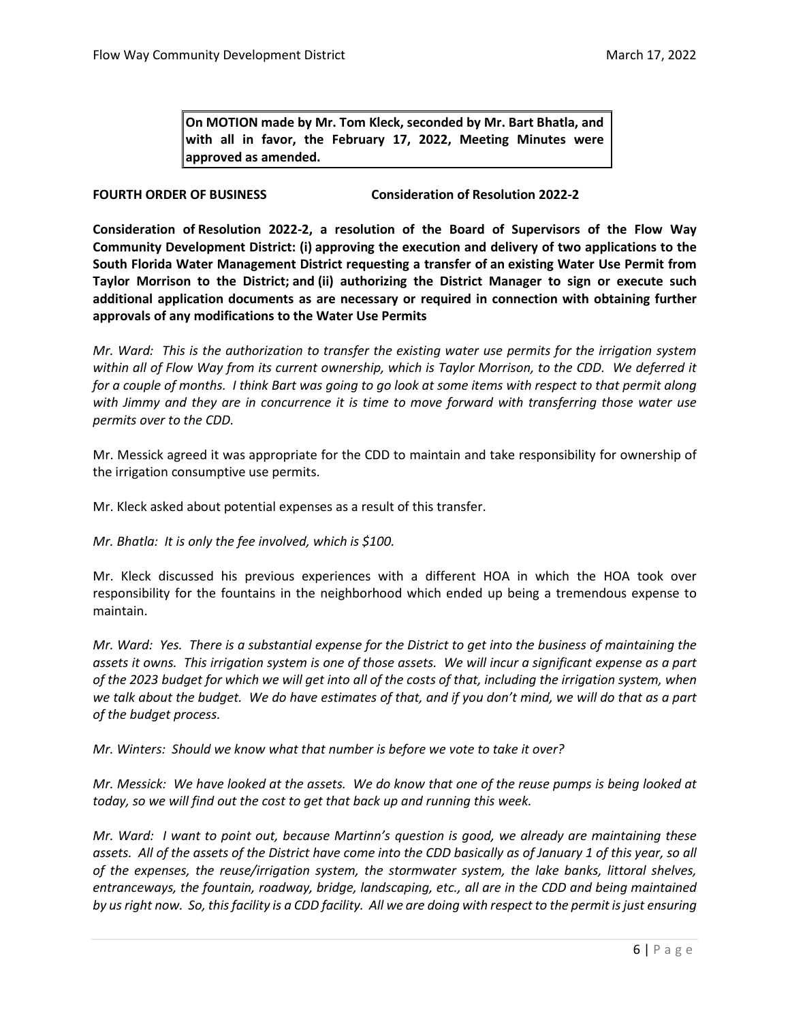**On MOTION made by Mr. Tom Kleck, seconded by Mr. Bart Bhatla, and with all in favor, the February 17, 2022, Meeting Minutes were approved as amended.** 

**FOURTH ORDER OF BUSINESS Consideration of Resolution 2022-2** 

**Consideration of Resolution 2022-2, a resolution of the Board of Supervisors of the Flow Way Community Development District: (i) approving the execution and delivery of two applications to the South Florida Water Management District requesting a transfer of an existing Water Use Permit from Taylor Morrison to the District; and (ii) authorizing the District Manager to sign or execute such additional application documents as are necessary or required in connection with obtaining further approvals of any modifications to the Water Use Permits**

*Mr. Ward: This is the authorization to transfer the existing water use permits for the irrigation system within all of Flow Way from its current ownership, which is Taylor Morrison, to the CDD. We deferred it for a couple of months. I think Bart was going to go look at some items with respect to that permit along with Jimmy and they are in concurrence it is time to move forward with transferring those water use permits over to the CDD.* 

Mr. Messick agreed it was appropriate for the CDD to maintain and take responsibility for ownership of the irrigation consumptive use permits.

Mr. Kleck asked about potential expenses as a result of this transfer.

*Mr. Bhatla: It is only the fee involved, which is \$100.* 

Mr. Kleck discussed his previous experiences with a different HOA in which the HOA took over responsibility for the fountains in the neighborhood which ended up being a tremendous expense to maintain.

*Mr. Ward: Yes. There is a substantial expense for the District to get into the business of maintaining the assets it owns. This irrigation system is one of those assets. We will incur a significant expense as a part of the 2023 budget for which we will get into all of the costs of that, including the irrigation system, when we talk about the budget. We do have estimates of that, and if you don't mind, we will do that as a part of the budget process.* 

*Mr. Winters: Should we know what that number is before we vote to take it over?* 

*Mr. Messick: We have looked at the assets. We do know that one of the reuse pumps is being looked at today, so we will find out the cost to get that back up and running this week.*

*Mr. Ward: I want to point out, because Martinn's question is good, we already are maintaining these assets. All of the assets of the District have come into the CDD basically as of January 1 of this year, so all of the expenses, the reuse/irrigation system, the stormwater system, the lake banks, littoral shelves, entranceways, the fountain, roadway, bridge, landscaping, etc., all are in the CDD and being maintained by us right now. So, this facility is a CDD facility. All we are doing with respect to the permit is just ensuring*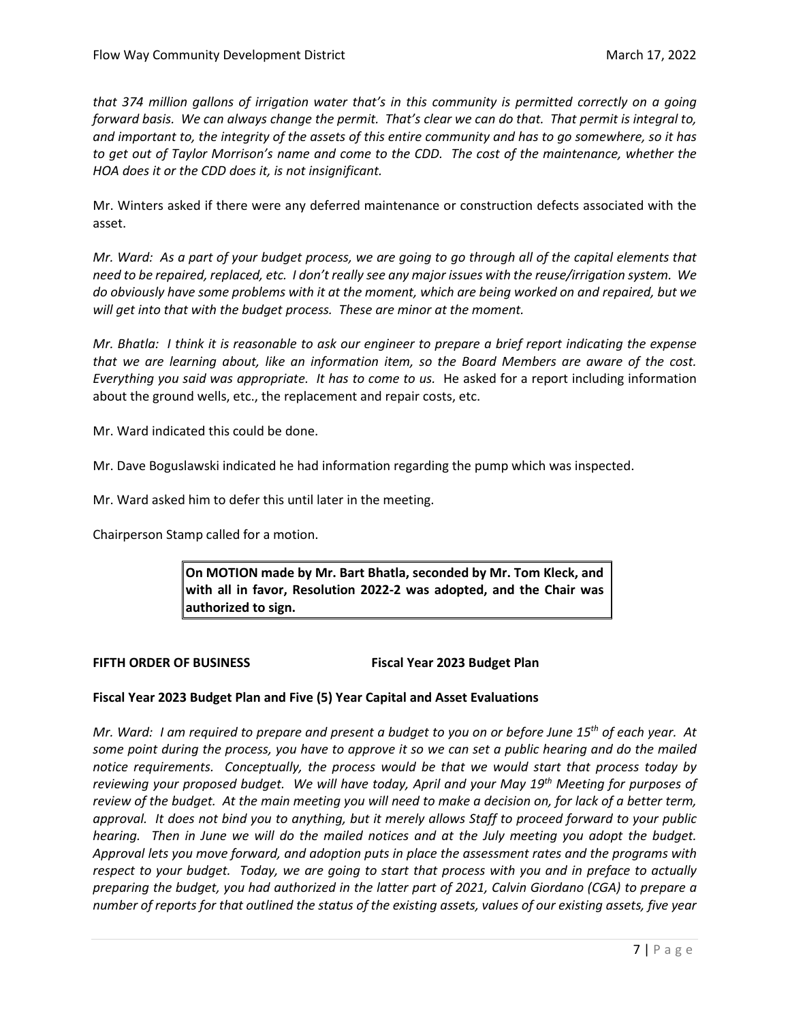*that 374 million gallons of irrigation water that's in this community is permitted correctly on a going forward basis. We can always change the permit. That's clear we can do that. That permit is integral to, and important to, the integrity of the assets of this entire community and has to go somewhere, so it has to get out of Taylor Morrison's name and come to the CDD. The cost of the maintenance, whether the HOA does it or the CDD does it, is not insignificant.* 

Mr. Winters asked if there were any deferred maintenance or construction defects associated with the asset.

*Mr. Ward: As a part of your budget process, we are going to go through all of the capital elements that need to be repaired, replaced, etc. I don't really see any major issues with the reuse/irrigation system. We do obviously have some problems with it at the moment, which are being worked on and repaired, but we will get into that with the budget process. These are minor at the moment.*

*Mr. Bhatla: I think it is reasonable to ask our engineer to prepare a brief report indicating the expense that we are learning about, like an information item, so the Board Members are aware of the cost. Everything you said was appropriate. It has to come to us.* He asked for a report including information about the ground wells, etc., the replacement and repair costs, etc.

Mr. Ward indicated this could be done.

Mr. Dave Boguslawski indicated he had information regarding the pump which was inspected.

Mr. Ward asked him to defer this until later in the meeting.

Chairperson Stamp called for a motion.

**On MOTION made by Mr. Bart Bhatla, seconded by Mr. Tom Kleck, and with all in favor, Resolution 2022-2 was adopted, and the Chair was authorized to sign.**

FIFTH ORDER OF BUSINESS **FIFTH ORDER OF BUSINESS** 

# **Fiscal Year 2023 Budget Plan and Five (5) Year Capital and Asset Evaluations**

*Mr. Ward: I am required to prepare and present a budget to you on or before June 15th of each year. At some point during the process, you have to approve it so we can set a public hearing and do the mailed notice requirements. Conceptually, the process would be that we would start that process today by reviewing your proposed budget. We will have today, April and your May 19th Meeting for purposes of review of the budget. At the main meeting you will need to make a decision on, for lack of a better term, approval. It does not bind you to anything, but it merely allows Staff to proceed forward to your public hearing. Then in June we will do the mailed notices and at the July meeting you adopt the budget. Approval lets you move forward, and adoption puts in place the assessment rates and the programs with respect to your budget. Today, we are going to start that process with you and in preface to actually preparing the budget, you had authorized in the latter part of 2021, Calvin Giordano (CGA) to prepare a number of reports for that outlined the status of the existing assets, values of our existing assets, five year*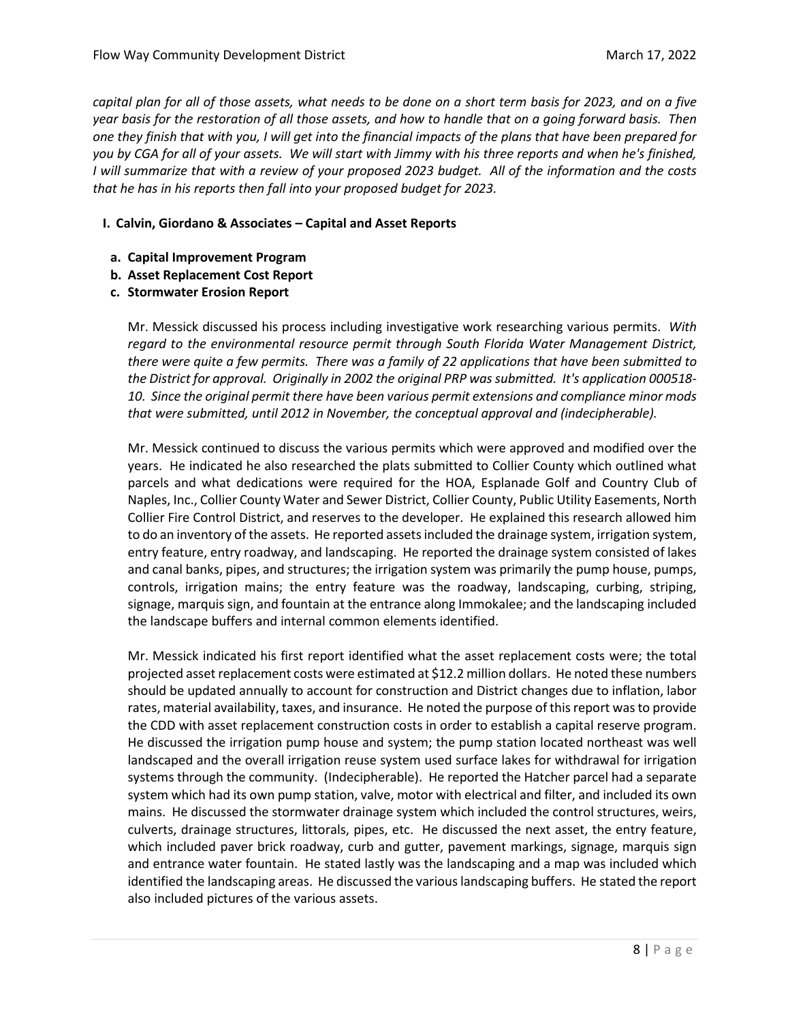*capital plan for all of those assets, what needs to be done on a short term basis for 2023, and on a five year basis for the restoration of all those assets, and how to handle that on a going forward basis. Then one they finish that with you, I will get into the financial impacts of the plans that have been prepared for you by CGA for all of your assets. We will start with Jimmy with his three reports and when he's finished, I will summarize that with a review of your proposed 2023 budget. All of the information and the costs that he has in his reports then fall into your proposed budget for 2023.* 

## **I. Calvin, Giordano & Associates – Capital and Asset Reports**

- **a. Capital Improvement Program**
- **b. Asset Replacement Cost Report**
- **c. Stormwater Erosion Report**

Mr. Messick discussed his process including investigative work researching various permits. *With regard to the environmental resource permit through South Florida Water Management District, there were quite a few permits. There was a family of 22 applications that have been submitted to the District for approval. Originally in 2002 the original PRP was submitted. It's application 000518- 10. Since the original permit there have been various permit extensions and compliance minor mods that were submitted, until 2012 in November, the conceptual approval and (indecipherable).* 

Mr. Messick continued to discuss the various permits which were approved and modified over the years. He indicated he also researched the plats submitted to Collier County which outlined what parcels and what dedications were required for the HOA, Esplanade Golf and Country Club of Naples, Inc., Collier County Water and Sewer District, Collier County, Public Utility Easements, North Collier Fire Control District, and reserves to the developer. He explained this research allowed him to do an inventory of the assets. He reported assets included the drainage system, irrigation system, entry feature, entry roadway, and landscaping. He reported the drainage system consisted of lakes and canal banks, pipes, and structures; the irrigation system was primarily the pump house, pumps, controls, irrigation mains; the entry feature was the roadway, landscaping, curbing, striping, signage, marquis sign, and fountain at the entrance along Immokalee; and the landscaping included the landscape buffers and internal common elements identified.

Mr. Messick indicated his first report identified what the asset replacement costs were; the total projected asset replacement costs were estimated at \$12.2 million dollars. He noted these numbers should be updated annually to account for construction and District changes due to inflation, labor rates, material availability, taxes, and insurance. He noted the purpose of this report was to provide the CDD with asset replacement construction costs in order to establish a capital reserve program. He discussed the irrigation pump house and system; the pump station located northeast was well landscaped and the overall irrigation reuse system used surface lakes for withdrawal for irrigation systems through the community. (Indecipherable). He reported the Hatcher parcel had a separate system which had its own pump station, valve, motor with electrical and filter, and included its own mains. He discussed the stormwater drainage system which included the control structures, weirs, culverts, drainage structures, littorals, pipes, etc. He discussed the next asset, the entry feature, which included paver brick roadway, curb and gutter, pavement markings, signage, marquis sign and entrance water fountain. He stated lastly was the landscaping and a map was included which identified the landscaping areas. He discussed the various landscaping buffers. He stated the report also included pictures of the various assets.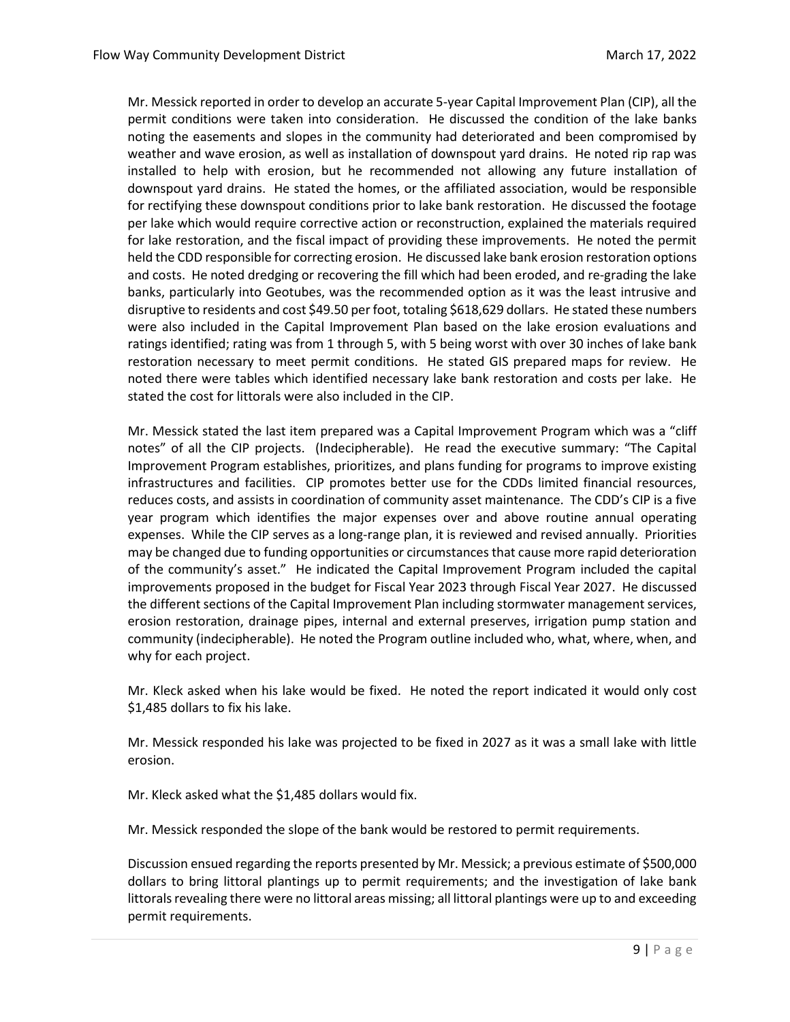Mr. Messick reported in order to develop an accurate 5-year Capital Improvement Plan (CIP), all the permit conditions were taken into consideration. He discussed the condition of the lake banks noting the easements and slopes in the community had deteriorated and been compromised by weather and wave erosion, as well as installation of downspout yard drains. He noted rip rap was installed to help with erosion, but he recommended not allowing any future installation of downspout yard drains. He stated the homes, or the affiliated association, would be responsible for rectifying these downspout conditions prior to lake bank restoration. He discussed the footage per lake which would require corrective action or reconstruction, explained the materials required for lake restoration, and the fiscal impact of providing these improvements. He noted the permit held the CDD responsible for correcting erosion. He discussed lake bank erosion restoration options and costs. He noted dredging or recovering the fill which had been eroded, and re-grading the lake banks, particularly into Geotubes, was the recommended option as it was the least intrusive and disruptive to residents and cost \$49.50 per foot, totaling \$618,629 dollars. He stated these numbers were also included in the Capital Improvement Plan based on the lake erosion evaluations and ratings identified; rating was from 1 through 5, with 5 being worst with over 30 inches of lake bank restoration necessary to meet permit conditions. He stated GIS prepared maps for review. He noted there were tables which identified necessary lake bank restoration and costs per lake. He stated the cost for littorals were also included in the CIP.

Mr. Messick stated the last item prepared was a Capital Improvement Program which was a "cliff notes" of all the CIP projects. (Indecipherable). He read the executive summary: "The Capital Improvement Program establishes, prioritizes, and plans funding for programs to improve existing infrastructures and facilities. CIP promotes better use for the CDDs limited financial resources, reduces costs, and assists in coordination of community asset maintenance. The CDD's CIP is a five year program which identifies the major expenses over and above routine annual operating expenses. While the CIP serves as a long-range plan, it is reviewed and revised annually. Priorities may be changed due to funding opportunities or circumstances that cause more rapid deterioration of the community's asset." He indicated the Capital Improvement Program included the capital improvements proposed in the budget for Fiscal Year 2023 through Fiscal Year 2027. He discussed the different sections of the Capital Improvement Plan including stormwater management services, erosion restoration, drainage pipes, internal and external preserves, irrigation pump station and community (indecipherable). He noted the Program outline included who, what, where, when, and why for each project.

Mr. Kleck asked when his lake would be fixed. He noted the report indicated it would only cost \$1,485 dollars to fix his lake.

Mr. Messick responded his lake was projected to be fixed in 2027 as it was a small lake with little erosion.

Mr. Kleck asked what the \$1,485 dollars would fix.

Mr. Messick responded the slope of the bank would be restored to permit requirements.

Discussion ensued regarding the reports presented by Mr. Messick; a previous estimate of \$500,000 dollars to bring littoral plantings up to permit requirements; and the investigation of lake bank littorals revealing there were no littoral areas missing; all littoral plantings were up to and exceeding permit requirements.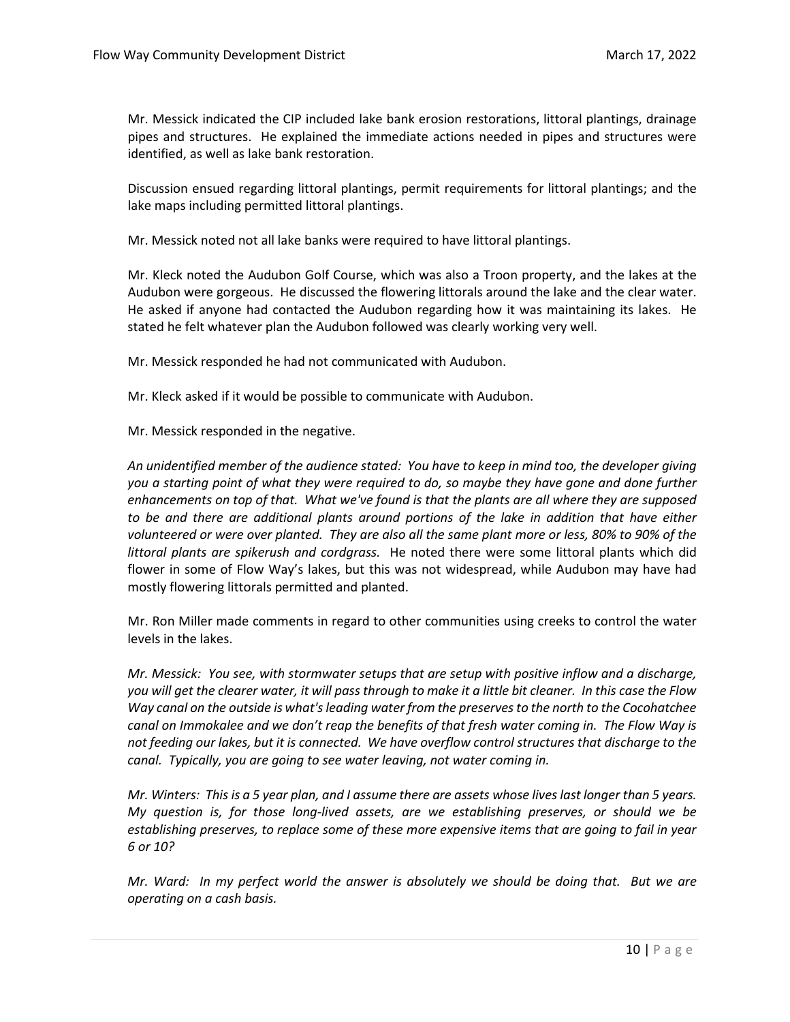Mr. Messick indicated the CIP included lake bank erosion restorations, littoral plantings, drainage pipes and structures. He explained the immediate actions needed in pipes and structures were identified, as well as lake bank restoration.

Discussion ensued regarding littoral plantings, permit requirements for littoral plantings; and the lake maps including permitted littoral plantings.

Mr. Messick noted not all lake banks were required to have littoral plantings.

Mr. Kleck noted the Audubon Golf Course, which was also a Troon property, and the lakes at the Audubon were gorgeous. He discussed the flowering littorals around the lake and the clear water. He asked if anyone had contacted the Audubon regarding how it was maintaining its lakes. He stated he felt whatever plan the Audubon followed was clearly working very well.

Mr. Messick responded he had not communicated with Audubon.

Mr. Kleck asked if it would be possible to communicate with Audubon.

Mr. Messick responded in the negative.

*An unidentified member of the audience stated: You have to keep in mind too, the developer giving you a starting point of what they were required to do, so maybe they have gone and done further enhancements on top of that. What we've found is that the plants are all where they are supposed to be and there are additional plants around portions of the lake in addition that have either volunteered or were over planted. They are also all the same plant more or less, 80% to 90% of the littoral plants are spikerush and cordgrass.* He noted there were some littoral plants which did flower in some of Flow Way's lakes, but this was not widespread, while Audubon may have had mostly flowering littorals permitted and planted.

Mr. Ron Miller made comments in regard to other communities using creeks to control the water levels in the lakes.

*Mr. Messick: You see, with stormwater setups that are setup with positive inflow and a discharge, you will get the clearer water, it will pass through to make it a little bit cleaner. In this case the Flow Way canal on the outside is what's leading water from the preserves to the north to the Cocohatchee canal on Immokalee and we don't reap the benefits of that fresh water coming in. The Flow Way is not feeding our lakes, but it is connected. We have overflow control structures that discharge to the canal. Typically, you are going to see water leaving, not water coming in.* 

*Mr. Winters: This is a 5 year plan, and I assume there are assets whose lives last longer than 5 years. My question is, for those long-lived assets, are we establishing preserves, or should we be establishing preserves, to replace some of these more expensive items that are going to fail in year 6 or 10?* 

*Mr. Ward: In my perfect world the answer is absolutely we should be doing that. But we are operating on a cash basis.*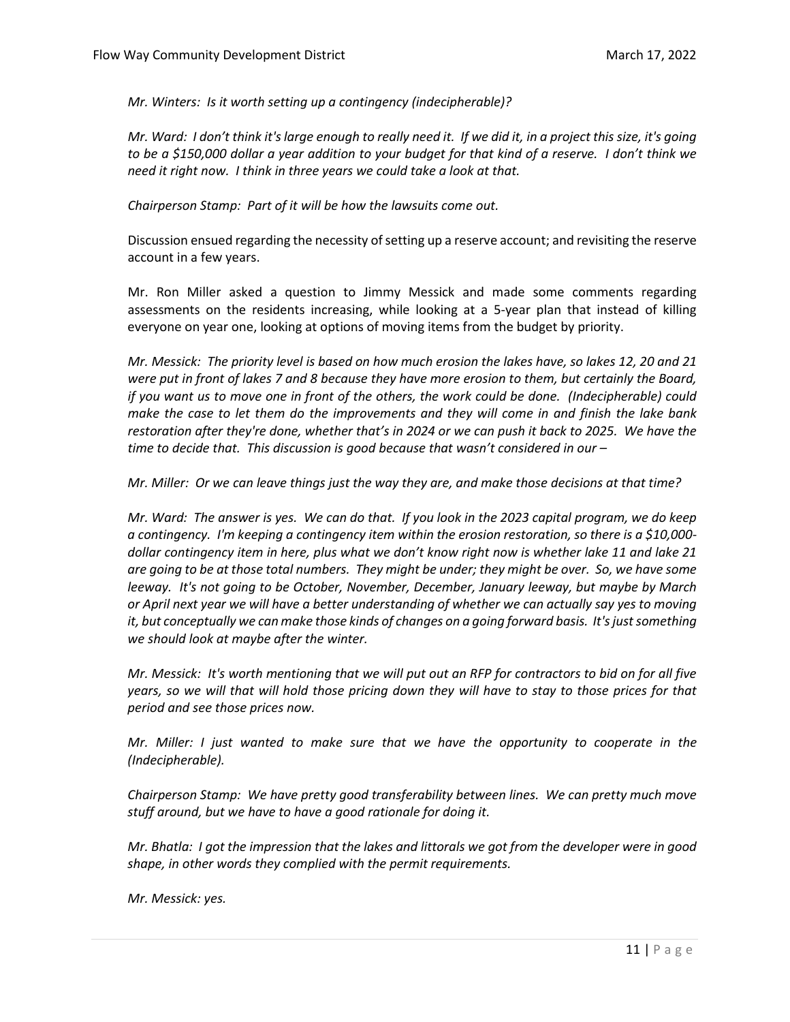*Mr. Winters: Is it worth setting up a contingency (indecipherable)?*

*Mr. Ward: I don't think it's large enough to really need it. If we did it, in a project this size, it's going to be a \$150,000 dollar a year addition to your budget for that kind of a reserve. I don't think we need it right now. I think in three years we could take a look at that.* 

*Chairperson Stamp: Part of it will be how the lawsuits come out.* 

Discussion ensued regarding the necessity of setting up a reserve account; and revisiting the reserve account in a few years.

Mr. Ron Miller asked a question to Jimmy Messick and made some comments regarding assessments on the residents increasing, while looking at a 5-year plan that instead of killing everyone on year one, looking at options of moving items from the budget by priority.

*Mr. Messick: The priority level is based on how much erosion the lakes have, so lakes 12, 20 and 21 were put in front of lakes 7 and 8 because they have more erosion to them, but certainly the Board, if you want us to move one in front of the others, the work could be done. (Indecipherable) could make the case to let them do the improvements and they will come in and finish the lake bank restoration after they're done, whether that's in 2024 or we can push it back to 2025. We have the time to decide that. This discussion is good because that wasn't considered in our –*

*Mr. Miller: Or we can leave things just the way they are, and make those decisions at that time?*

*Mr. Ward: The answer is yes. We can do that. If you look in the 2023 capital program, we do keep a contingency. I'm keeping a contingency item within the erosion restoration, so there is a \$10,000 dollar contingency item in here, plus what we don't know right now is whether lake 11 and lake 21 are going to be at those total numbers. They might be under; they might be over. So, we have some leeway. It's not going to be October, November, December, January leeway, but maybe by March or April next year we will have a better understanding of whether we can actually say yes to moving it, but conceptually we can make those kinds of changes on a going forward basis. It's just something we should look at maybe after the winter.* 

*Mr. Messick: It's worth mentioning that we will put out an RFP for contractors to bid on for all five years, so we will that will hold those pricing down they will have to stay to those prices for that period and see those prices now.* 

*Mr. Miller: I just wanted to make sure that we have the opportunity to cooperate in the (Indecipherable).*

*Chairperson Stamp: We have pretty good transferability between lines. We can pretty much move stuff around, but we have to have a good rationale for doing it.* 

*Mr. Bhatla: I got the impression that the lakes and littorals we got from the developer were in good shape, in other words they complied with the permit requirements.* 

*Mr. Messick: yes.*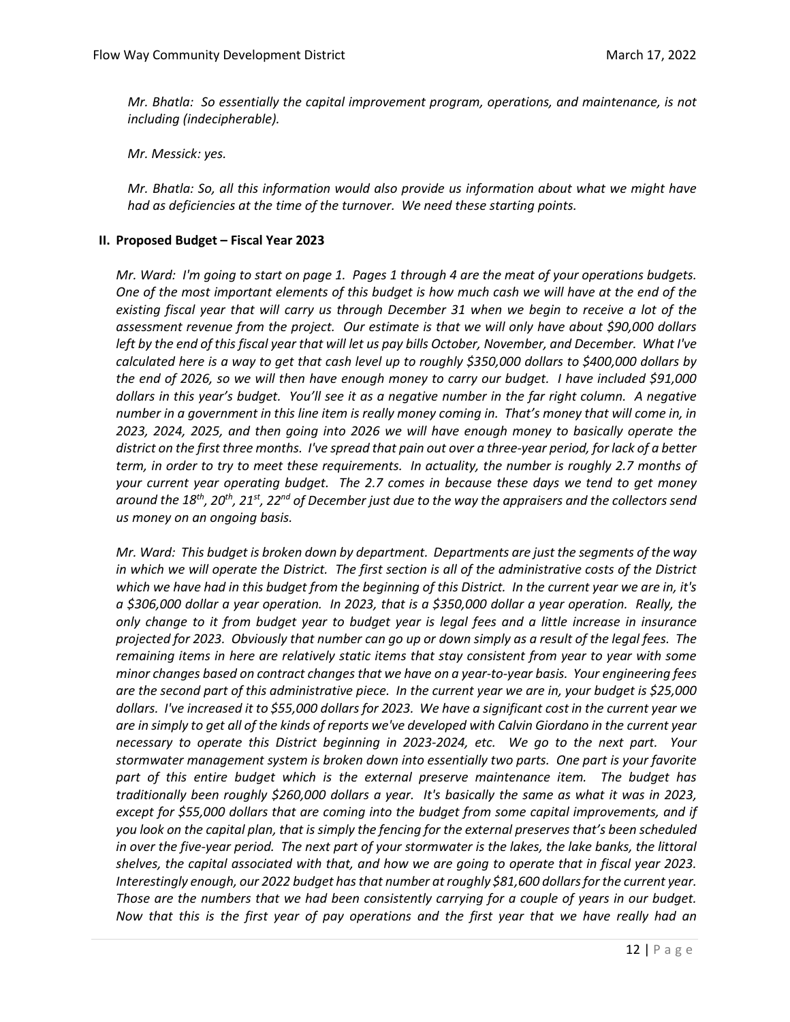*Mr. Bhatla: So essentially the capital improvement program, operations, and maintenance, is not including (indecipherable).* 

*Mr. Messick: yes.* 

*Mr. Bhatla: So, all this information would also provide us information about what we might have had as deficiencies at the time of the turnover. We need these starting points.*

## **II. Proposed Budget – Fiscal Year 2023**

*Mr. Ward: I'm going to start on page 1. Pages 1 through 4 are the meat of your operations budgets. One of the most important elements of this budget is how much cash we will have at the end of the existing fiscal year that will carry us through December 31 when we begin to receive a lot of the assessment revenue from the project. Our estimate is that we will only have about \$90,000 dollars left by the end of this fiscal year that will let us pay bills October, November, and December. What I've calculated here is a way to get that cash level up to roughly \$350,000 dollars to \$400,000 dollars by the end of 2026, so we will then have enough money to carry our budget. I have included \$91,000 dollars in this year's budget. You'll see it as a negative number in the far right column. A negative number in a government in this line item is really money coming in. That's money that will come in, in 2023, 2024, 2025, and then going into 2026 we will have enough money to basically operate the district on the first three months. I've spread that pain out over a three-year period, for lack of a better term, in order to try to meet these requirements. In actuality, the number is roughly 2.7 months of your current year operating budget. The 2.7 comes in because these days we tend to get money around the 18th, 20th, 21st, 22nd of December just due to the way the appraisers and the collectors send us money on an ongoing basis.* 

*Mr. Ward: This budget is broken down by department. Departments are just the segments of the way in which we will operate the District. The first section is all of the administrative costs of the District which we have had in this budget from the beginning of this District. In the current year we are in, it's a \$306,000 dollar a year operation. In 2023, that is a \$350,000 dollar a year operation. Really, the only change to it from budget year to budget year is legal fees and a little increase in insurance projected for 2023. Obviously that number can go up or down simply as a result of the legal fees. The remaining items in here are relatively static items that stay consistent from year to year with some minor changes based on contract changes that we have on a year-to-year basis. Your engineering fees are the second part of this administrative piece. In the current year we are in, your budget is \$25,000 dollars. I've increased it to \$55,000 dollars for 2023. We have a significant cost in the current year we are in simply to get all of the kinds of reports we've developed with Calvin Giordano in the current year necessary to operate this District beginning in 2023-2024, etc. We go to the next part. Your stormwater management system is broken down into essentially two parts. One part is your favorite part of this entire budget which is the external preserve maintenance item. The budget has traditionally been roughly \$260,000 dollars a year. It's basically the same as what it was in 2023, except for \$55,000 dollars that are coming into the budget from some capital improvements, and if you look on the capital plan, that is simply the fencing for the external preserves that's been scheduled in over the five-year period. The next part of your stormwater is the lakes, the lake banks, the littoral shelves, the capital associated with that, and how we are going to operate that in fiscal year 2023. Interestingly enough, our 2022 budget has that number at roughly \$81,600 dollars for the current year. Those are the numbers that we had been consistently carrying for a couple of years in our budget. Now that this is the first year of pay operations and the first year that we have really had an*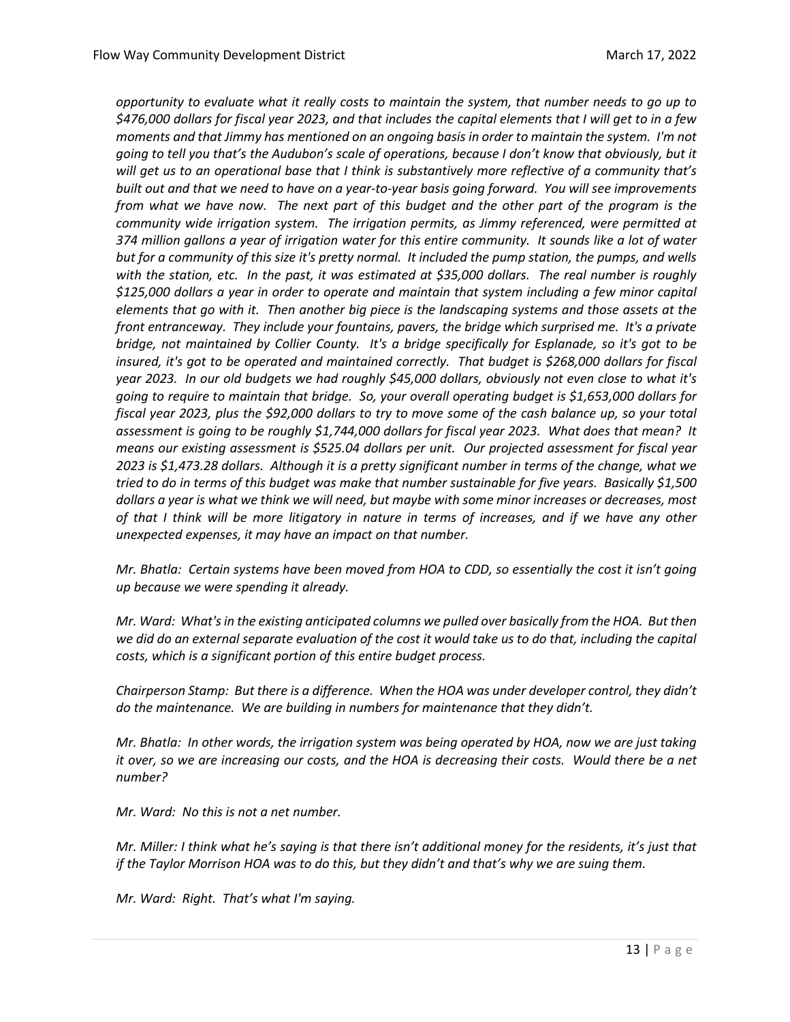*opportunity to evaluate what it really costs to maintain the system, that number needs to go up to \$476,000 dollars for fiscal year 2023, and that includes the capital elements that I will get to in a few moments and that Jimmy has mentioned on an ongoing basis in order to maintain the system. I'm not going to tell you that's the Audubon's scale of operations, because I don't know that obviously, but it will get us to an operational base that I think is substantively more reflective of a community that's built out and that we need to have on a year-to-year basis going forward. You will see improvements from what we have now. The next part of this budget and the other part of the program is the community wide irrigation system. The irrigation permits, as Jimmy referenced, were permitted at 374 million gallons a year of irrigation water for this entire community. It sounds like a lot of water but for a community of this size it's pretty normal. It included the pump station, the pumps, and wells with the station, etc. In the past, it was estimated at \$35,000 dollars. The real number is roughly \$125,000 dollars a year in order to operate and maintain that system including a few minor capital elements that go with it. Then another big piece is the landscaping systems and those assets at the front entranceway. They include your fountains, pavers, the bridge which surprised me. It's a private bridge, not maintained by Collier County. It's a bridge specifically for Esplanade, so it's got to be insured, it's got to be operated and maintained correctly. That budget is \$268,000 dollars for fiscal year 2023. In our old budgets we had roughly \$45,000 dollars, obviously not even close to what it's going to require to maintain that bridge. So, your overall operating budget is \$1,653,000 dollars for fiscal year 2023, plus the \$92,000 dollars to try to move some of the cash balance up, so your total assessment is going to be roughly \$1,744,000 dollars for fiscal year 2023. What does that mean? It means our existing assessment is \$525.04 dollars per unit. Our projected assessment for fiscal year 2023 is \$1,473.28 dollars. Although it is a pretty significant number in terms of the change, what we tried to do in terms of this budget was make that number sustainable for five years. Basically \$1,500 dollars a year is what we think we will need, but maybe with some minor increases or decreases, most of that I think will be more litigatory in nature in terms of increases, and if we have any other unexpected expenses, it may have an impact on that number.*

*Mr. Bhatla: Certain systems have been moved from HOA to CDD, so essentially the cost it isn't going up because we were spending it already.* 

*Mr. Ward: What's in the existing anticipated columns we pulled over basically from the HOA. But then we did do an external separate evaluation of the cost it would take us to do that, including the capital costs, which is a significant portion of this entire budget process.* 

*Chairperson Stamp: But there is a difference. When the HOA was under developer control, they didn't do the maintenance. We are building in numbers for maintenance that they didn't.* 

*Mr. Bhatla: In other words, the irrigation system was being operated by HOA, now we are just taking it over, so we are increasing our costs, and the HOA is decreasing their costs. Would there be a net number?*

*Mr. Ward: No this is not a net number.*

*Mr. Miller: I think what he's saying is that there isn't additional money for the residents, it's just that if the Taylor Morrison HOA was to do this, but they didn't and that's why we are suing them.*

*Mr. Ward: Right. That's what I'm saying.*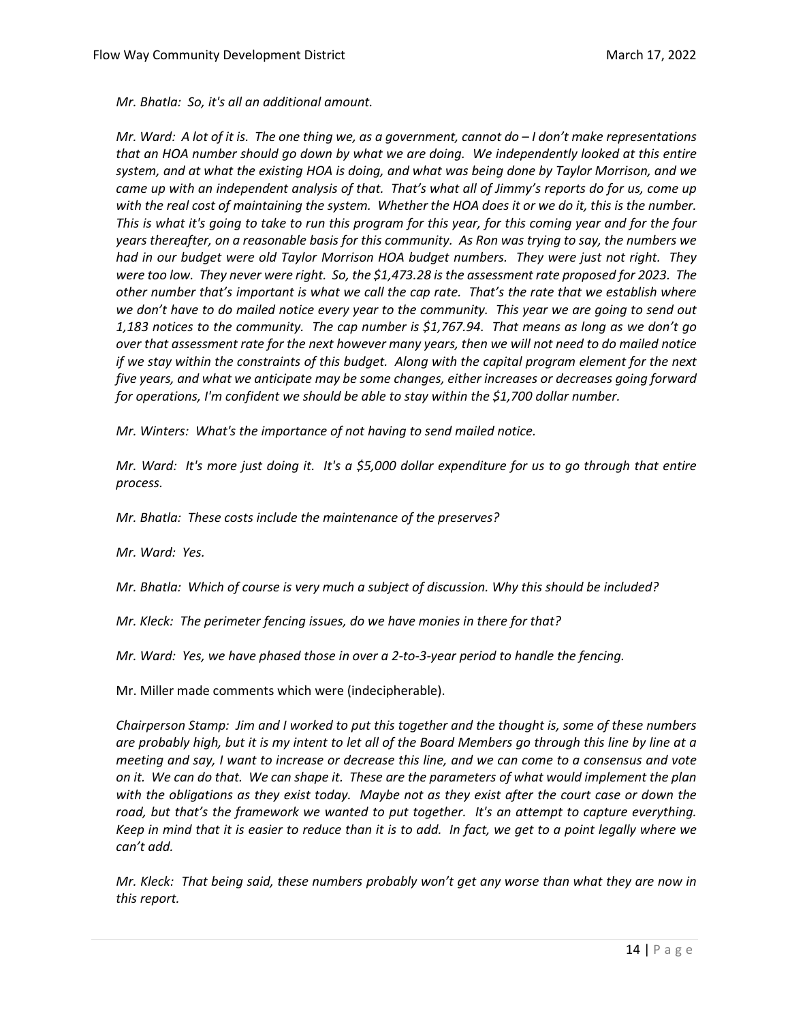*Mr. Bhatla: So, it's all an additional amount.*

*Mr. Ward: A lot of it is. The one thing we, as a government, cannot do – I don't make representations that an HOA number should go down by what we are doing. We independently looked at this entire system, and at what the existing HOA is doing, and what was being done by Taylor Morrison, and we came up with an independent analysis of that. That's what all of Jimmy's reports do for us, come up with the real cost of maintaining the system. Whether the HOA does it or we do it, this is the number. This is what it's going to take to run this program for this year, for this coming year and for the four years thereafter, on a reasonable basis for this community. As Ron was trying to say, the numbers we had in our budget were old Taylor Morrison HOA budget numbers. They were just not right. They were too low. They never were right. So, the \$1,473.28 is the assessment rate proposed for 2023. The other number that's important is what we call the cap rate. That's the rate that we establish where we don't have to do mailed notice every year to the community. This year we are going to send out 1,183 notices to the community. The cap number is \$1,767.94. That means as long as we don't go over that assessment rate for the next however many years, then we will not need to do mailed notice if we stay within the constraints of this budget. Along with the capital program element for the next five years, and what we anticipate may be some changes, either increases or decreases going forward for operations, I'm confident we should be able to stay within the \$1,700 dollar number.* 

*Mr. Winters: What's the importance of not having to send mailed notice.* 

*Mr. Ward: It's more just doing it. It's a \$5,000 dollar expenditure for us to go through that entire process.* 

*Mr. Bhatla: These costs include the maintenance of the preserves?* 

*Mr. Ward: Yes.* 

*Mr. Bhatla: Which of course is very much a subject of discussion. Why this should be included?* 

*Mr. Kleck: The perimeter fencing issues, do we have monies in there for that?*

*Mr. Ward: Yes, we have phased those in over a 2-to-3-year period to handle the fencing.* 

Mr. Miller made comments which were (indecipherable).

*Chairperson Stamp: Jim and I worked to put this together and the thought is, some of these numbers are probably high, but it is my intent to let all of the Board Members go through this line by line at a meeting and say, I want to increase or decrease this line, and we can come to a consensus and vote on it. We can do that. We can shape it. These are the parameters of what would implement the plan with the obligations as they exist today. Maybe not as they exist after the court case or down the road, but that's the framework we wanted to put together. It's an attempt to capture everything. Keep in mind that it is easier to reduce than it is to add. In fact, we get to a point legally where we can't add.* 

*Mr. Kleck: That being said, these numbers probably won't get any worse than what they are now in this report.*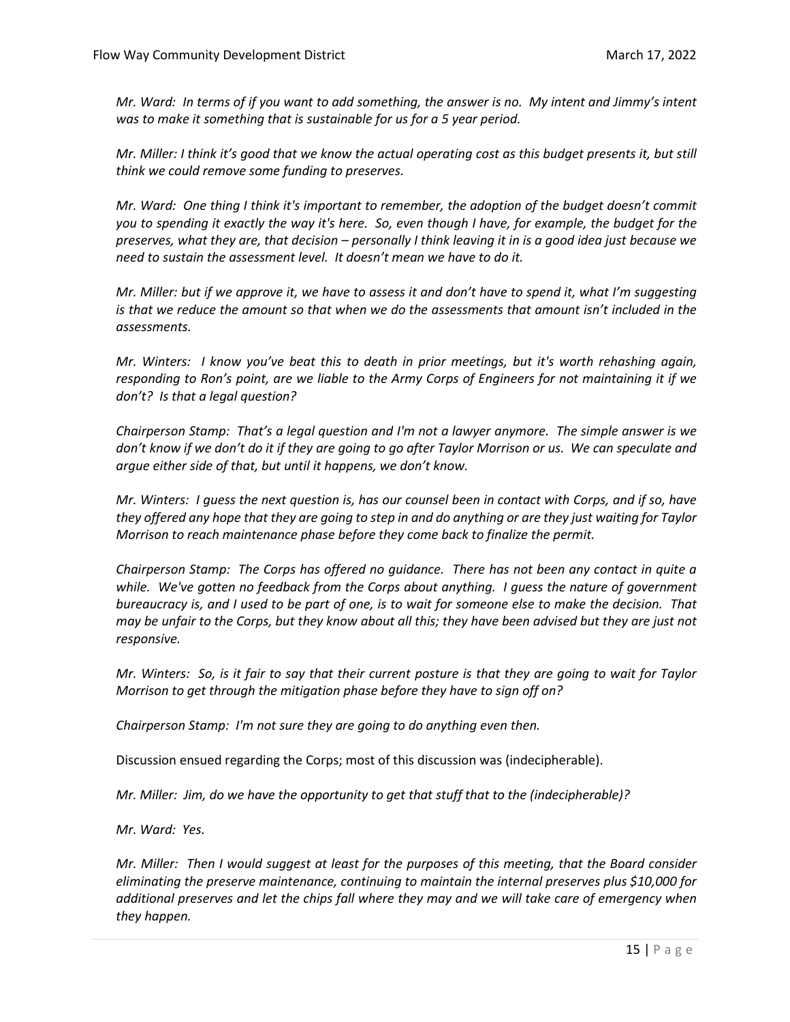*Mr. Ward: In terms of if you want to add something, the answer is no. My intent and Jimmy's intent was to make it something that is sustainable for us for a 5 year period.* 

*Mr. Miller: I think it's good that we know the actual operating cost as this budget presents it, but still think we could remove some funding to preserves.*

*Mr. Ward: One thing I think it's important to remember, the adoption of the budget doesn't commit you to spending it exactly the way it's here. So, even though I have, for example, the budget for the preserves, what they are, that decision – personally I think leaving it in is a good idea just because we need to sustain the assessment level. It doesn't mean we have to do it.* 

*Mr. Miller: but if we approve it, we have to assess it and don't have to spend it, what I'm suggesting is that we reduce the amount so that when we do the assessments that amount isn't included in the assessments.* 

*Mr. Winters: I know you've beat this to death in prior meetings, but it's worth rehashing again, responding to Ron's point, are we liable to the Army Corps of Engineers for not maintaining it if we don't? Is that a legal question?* 

*Chairperson Stamp: That's a legal question and I'm not a lawyer anymore. The simple answer is we*  don't know if we don't do it if they are going to go after Taylor Morrison or us. We can speculate and *argue either side of that, but until it happens, we don't know.*

*Mr. Winters: I guess the next question is, has our counsel been in contact with Corps, and if so, have they offered any hope that they are going to step in and do anything or are they just waiting for Taylor Morrison to reach maintenance phase before they come back to finalize the permit.* 

*Chairperson Stamp: The Corps has offered no guidance. There has not been any contact in quite a while. We've gotten no feedback from the Corps about anything. I guess the nature of government bureaucracy is, and I used to be part of one, is to wait for someone else to make the decision. That may be unfair to the Corps, but they know about all this; they have been advised but they are just not responsive.* 

*Mr. Winters: So, is it fair to say that their current posture is that they are going to wait for Taylor Morrison to get through the mitigation phase before they have to sign off on?*

*Chairperson Stamp: I'm not sure they are going to do anything even then.*

Discussion ensued regarding the Corps; most of this discussion was (indecipherable).

*Mr. Miller: Jim, do we have the opportunity to get that stuff that to the (indecipherable)?*

*Mr. Ward: Yes.* 

*Mr. Miller: Then I would suggest at least for the purposes of this meeting, that the Board consider eliminating the preserve maintenance, continuing to maintain the internal preserves plus \$10,000 for additional preserves and let the chips fall where they may and we will take care of emergency when they happen.*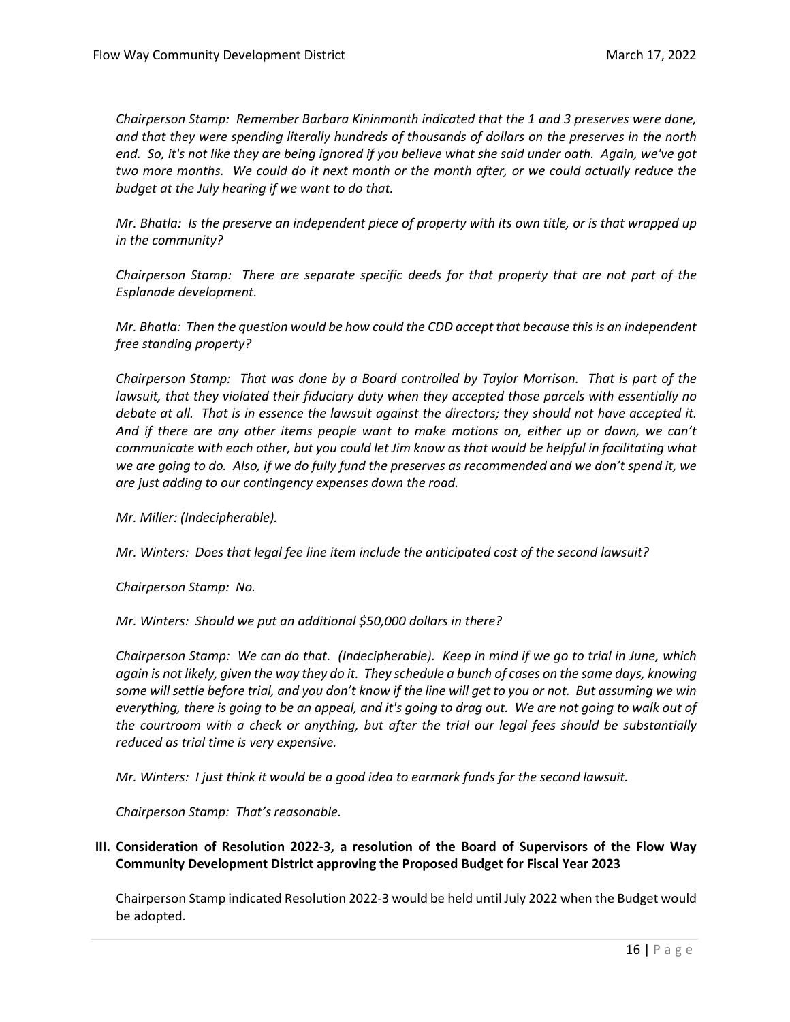*Chairperson Stamp: Remember Barbara Kininmonth indicated that the 1 and 3 preserves were done, and that they were spending literally hundreds of thousands of dollars on the preserves in the north end. So, it's not like they are being ignored if you believe what she said under oath. Again, we've got two more months. We could do it next month or the month after, or we could actually reduce the budget at the July hearing if we want to do that.* 

*Mr. Bhatla: Is the preserve an independent piece of property with its own title, or is that wrapped up in the community?*

*Chairperson Stamp: There are separate specific deeds for that property that are not part of the Esplanade development.* 

*Mr. Bhatla: Then the question would be how could the CDD accept that because this is an independent free standing property?*

*Chairperson Stamp: That was done by a Board controlled by Taylor Morrison. That is part of the lawsuit, that they violated their fiduciary duty when they accepted those parcels with essentially no debate at all. That is in essence the lawsuit against the directors; they should not have accepted it. And if there are any other items people want to make motions on, either up or down, we can't communicate with each other, but you could let Jim know as that would be helpful in facilitating what we are going to do. Also, if we do fully fund the preserves as recommended and we don't spend it, we are just adding to our contingency expenses down the road.* 

*Mr. Miller: (Indecipherable).* 

*Mr. Winters: Does that legal fee line item include the anticipated cost of the second lawsuit?* 

*Chairperson Stamp: No.*

*Mr. Winters: Should we put an additional \$50,000 dollars in there?*

*Chairperson Stamp: We can do that. (Indecipherable). Keep in mind if we go to trial in June, which again is not likely, given the way they do it. They schedule a bunch of cases on the same days, knowing some will settle before trial, and you don't know if the line will get to you or not. But assuming we win everything, there is going to be an appeal, and it's going to drag out. We are not going to walk out of the courtroom with a check or anything, but after the trial our legal fees should be substantially reduced as trial time is very expensive.* 

*Mr. Winters: I just think it would be a good idea to earmark funds for the second lawsuit.*

*Chairperson Stamp: That's reasonable.* 

**III. Consideration of Resolution 2022-3, a resolution of the Board of Supervisors of the Flow Way Community Development District approving the Proposed Budget for Fiscal Year 2023**

Chairperson Stamp indicated Resolution 2022-3 would be held until July 2022 when the Budget would be adopted.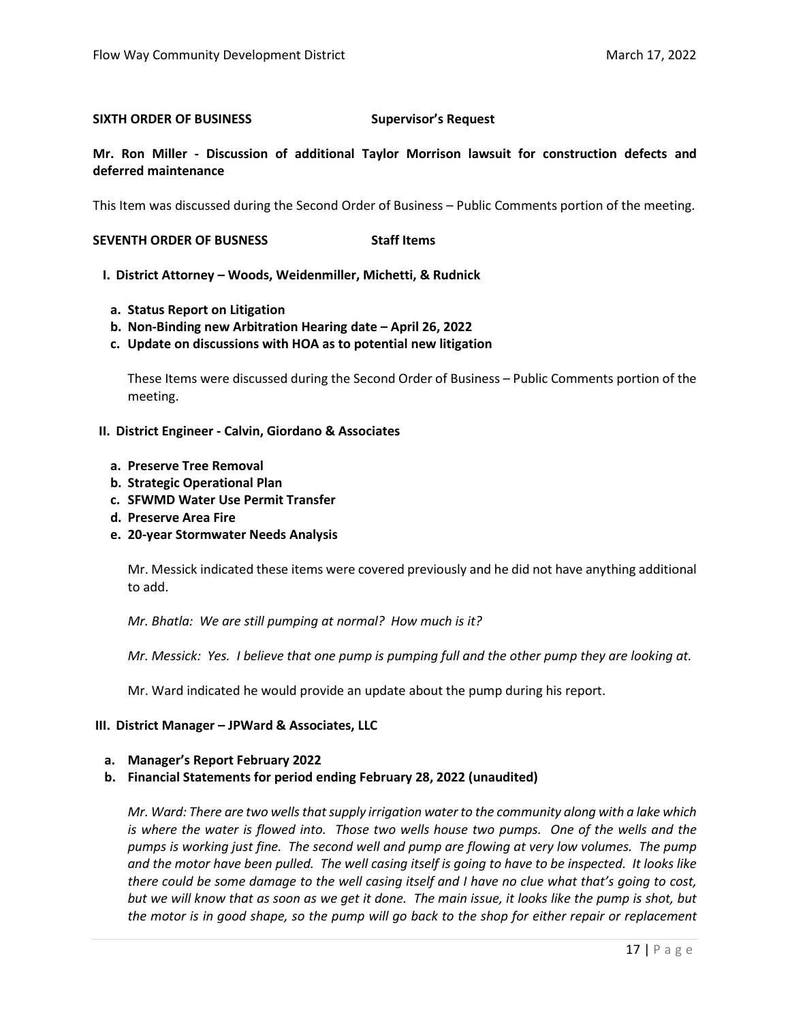#### **SIXTH ORDER OF BUSINESS Supervisor's Request**

**Mr. Ron Miller - Discussion of additional Taylor Morrison lawsuit for construction defects and deferred maintenance**

This Item was discussed during the Second Order of Business – Public Comments portion of the meeting.

**SEVENTH ORDER OF BUSNESS Staff Items** 

**I. District Attorney – Woods, Weidenmiller, Michetti, & Rudnick**

- **a. Status Report on Litigation**
- **b. Non-Binding new Arbitration Hearing date – April 26, 2022**
- **c. Update on discussions with HOA as to potential new litigation**

These Items were discussed during the Second Order of Business – Public Comments portion of the meeting.

### **II. District Engineer - Calvin, Giordano & Associates**

- **a. Preserve Tree Removal**
- **b. Strategic Operational Plan**
- **c. SFWMD Water Use Permit Transfer**
- **d. Preserve Area Fire**
- **e. 20-year Stormwater Needs Analysis**

Mr. Messick indicated these items were covered previously and he did not have anything additional to add.

*Mr. Bhatla: We are still pumping at normal? How much is it?*

*Mr. Messick: Yes. I believe that one pump is pumping full and the other pump they are looking at.* 

Mr. Ward indicated he would provide an update about the pump during his report.

#### **III. District Manager – JPWard & Associates, LLC**

#### **a. Manager's Report February 2022**

**b. Financial Statements for period ending February 28, 2022 (unaudited)**

*Mr. Ward: There are two wells that supply irrigation water to the community along with a lake which is where the water is flowed into. Those two wells house two pumps. One of the wells and the pumps is working just fine. The second well and pump are flowing at very low volumes. The pump and the motor have been pulled. The well casing itself is going to have to be inspected. It looks like there could be some damage to the well casing itself and I have no clue what that's going to cost, but we will know that as soon as we get it done. The main issue, it looks like the pump is shot, but the motor is in good shape, so the pump will go back to the shop for either repair or replacement*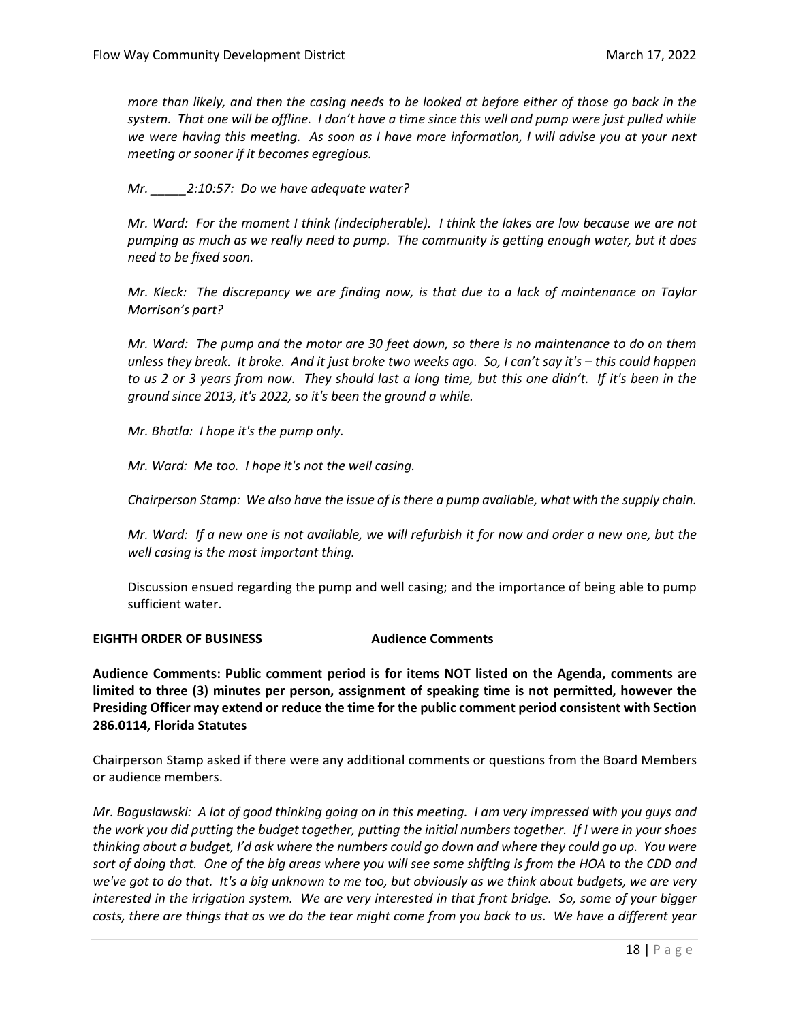*more than likely, and then the casing needs to be looked at before either of those go back in the system. That one will be offline. I don't have a time since this well and pump were just pulled while we were having this meeting. As soon as I have more information, I will advise you at your next meeting or sooner if it becomes egregious.* 

*Mr. \_\_\_\_\_2:10:57: Do we have adequate water?*

*Mr. Ward: For the moment I think (indecipherable). I think the lakes are low because we are not pumping as much as we really need to pump. The community is getting enough water, but it does need to be fixed soon.*

*Mr. Kleck: The discrepancy we are finding now, is that due to a lack of maintenance on Taylor Morrison's part?* 

*Mr. Ward: The pump and the motor are 30 feet down, so there is no maintenance to do on them unless they break. It broke. And it just broke two weeks ago. So, I can't say it's – this could happen to us 2 or 3 years from now. They should last a long time, but this one didn't. If it's been in the ground since 2013, it's 2022, so it's been the ground a while.* 

*Mr. Bhatla: I hope it's the pump only.*

*Mr. Ward: Me too. I hope it's not the well casing.* 

*Chairperson Stamp: We also have the issue of is there a pump available, what with the supply chain.* 

*Mr. Ward: If a new one is not available, we will refurbish it for now and order a new one, but the well casing is the most important thing.* 

Discussion ensued regarding the pump and well casing; and the importance of being able to pump sufficient water.

# **EIGHTH ORDER OF BUSINESS Audience Comments**

**Audience Comments: Public comment period is for items NOT listed on the Agenda, comments are limited to three (3) minutes per person, assignment of speaking time is not permitted, however the Presiding Officer may extend or reduce the time for the public comment period consistent with Section 286.0114, Florida Statutes**

Chairperson Stamp asked if there were any additional comments or questions from the Board Members or audience members.

*Mr. Boguslawski: A lot of good thinking going on in this meeting. I am very impressed with you guys and the work you did putting the budget together, putting the initial numbers together. If I were in your shoes thinking about a budget, I'd ask where the numbers could go down and where they could go up. You were sort of doing that. One of the big areas where you will see some shifting is from the HOA to the CDD and we've got to do that. It's a big unknown to me too, but obviously as we think about budgets, we are very interested in the irrigation system. We are very interested in that front bridge. So, some of your bigger costs, there are things that as we do the tear might come from you back to us. We have a different year*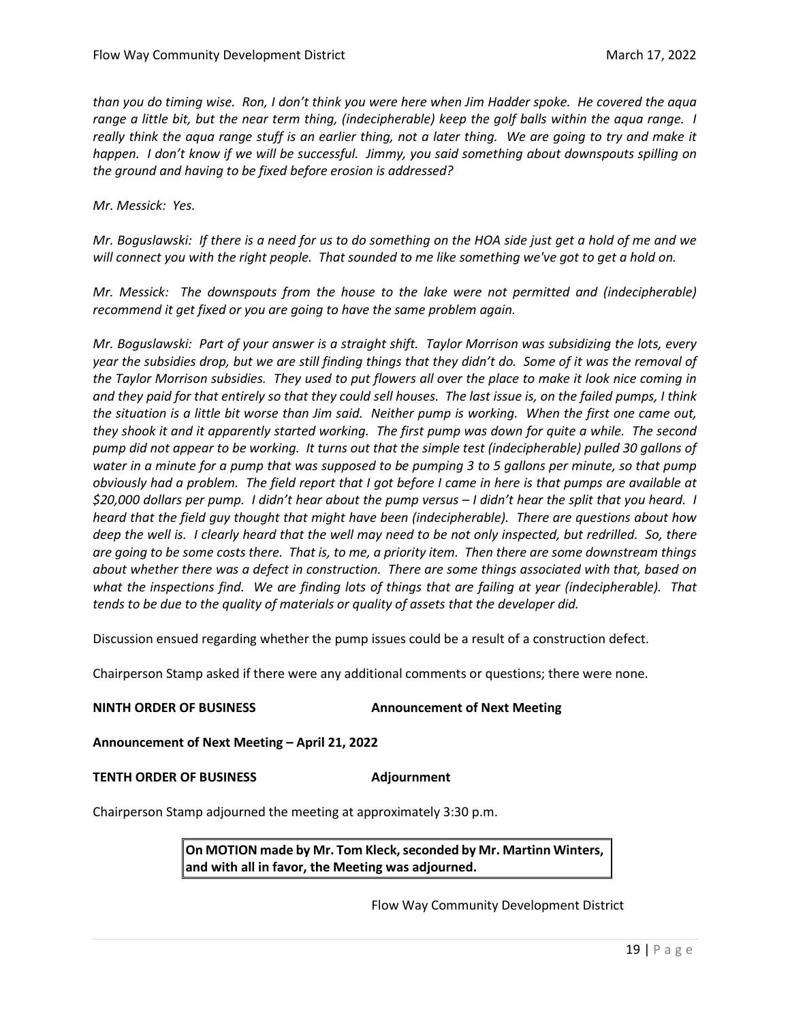*than you do timing wise. Ron, I don't think you were here when Jim Hadder spoke. He covered the aqua range a little bit, but the near term thing, (indecipherable) keep the golf balls within the aqua range. I really think the aqua range stuff is an earlier thing, not a later thing. We are going to try and make it happen. I don't know if we will be successful. Jimmy, you said something about downspouts spilling on the ground and having to be fixed before erosion is addressed?*

*Mr. Messick: Yes.*

*Mr. Boguslawski: If there is a need for us to do something on the HOA side just get a hold of me and we will connect you with the right people. That sounded to me like something we've got to get a hold on.* 

*Mr. Messick: The downspouts from the house to the lake were not permitted and (indecipherable) recommend it get fixed or you are going to have the same problem again.* 

*Mr. Boguslawski: Part of your answer is a straight shift. Taylor Morrison was subsidizing the lots, every year the subsidies drop, but we are still finding things that they didn't do. Some of it was the removal of the Taylor Morrison subsidies. They used to put flowers all over the place to make it look nice coming in and they paid for that entirely so that they could sell houses. The last issue is, on the failed pumps, I think the situation is a little bit worse than Jim said. Neither pump is working. When the first one came out, they shook it and it apparently started working. The first pump was down for quite a while. The second pump did not appear to be working. It turns out that the simple test (indecipherable) pulled 30 gallons of water in a minute for a pump that was supposed to be pumping 3 to 5 gallons per minute, so that pump obviously had a problem. The field report that I got before I came in here is that pumps are available at \$20,000 dollars per pump. I didn't hear about the pump versus – I didn't hear the split that you heard. I heard that the field guy thought that might have been (indecipherable). There are questions about how deep the well is. I clearly heard that the well may need to be not only inspected, but redrilled. So, there are going to be some costs there. That is, to me, a priority item. Then there are some downstream things about whether there was a defect in construction. There are some things associated with that, based on what the inspections find. We are finding lots of things that are failing at year (indecipherable). That tends to be due to the quality of materials or quality of assets that the developer did.* 

Discussion ensued regarding whether the pump issues could be a result of a construction defect.

Chairperson Stamp asked if there were any additional comments or questions; there were none.

#### **NINTH ORDER OF BUSINESS Announcement of Next Meeting**

**Announcement of Next Meeting – April 21, 2022** 

#### **TENTH ORDER OF BUSINESS Adjournment**

Chairperson Stamp adjourned the meeting at approximately 3:30 p.m.

**On MOTION made by Mr. Tom Kleck, seconded by Mr. Martinn Winters, and with all in favor, the Meeting was adjourned.**

Flow Way Community Development District